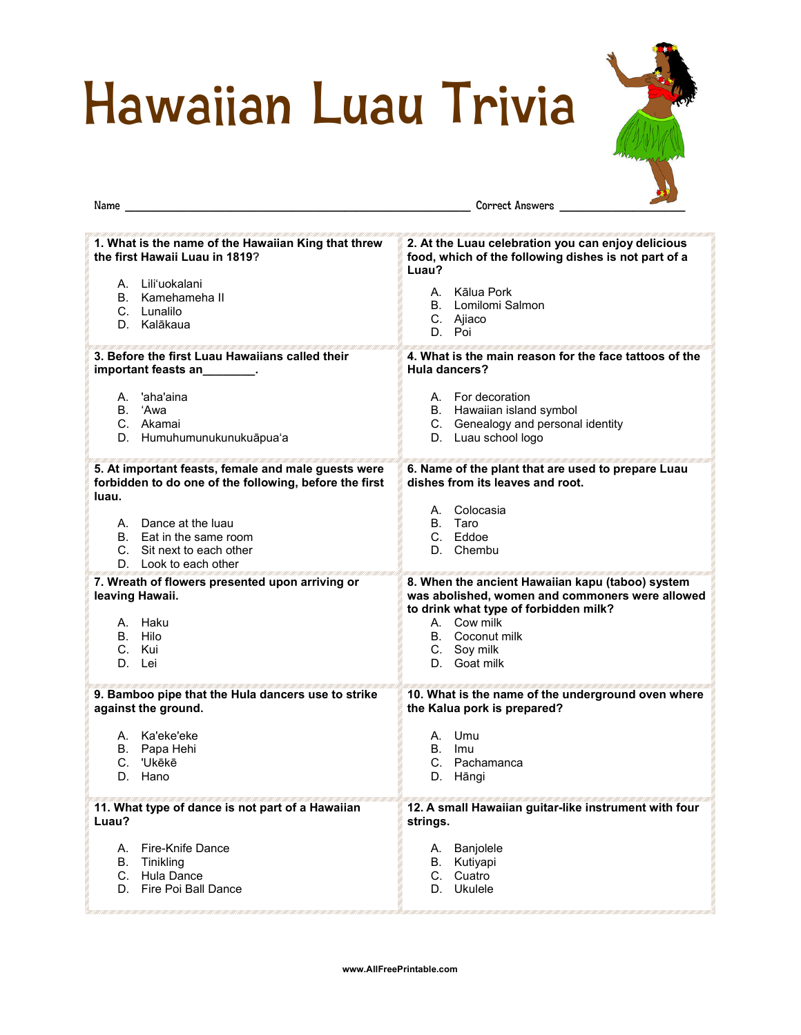## Hawaiian Luau Trivia



| Name                                                                                                                   | Correct Answers                                                                                                                                                                                                      |
|------------------------------------------------------------------------------------------------------------------------|----------------------------------------------------------------------------------------------------------------------------------------------------------------------------------------------------------------------|
| 1. What is the name of the Hawaiian King that threw<br>the first Hawaii Luau in 1819?                                  | 2. At the Luau celebration you can enjoy delicious<br>food, which of the following dishes is not part of a<br>Luau?                                                                                                  |
| A. Lili'uokalani                                                                                                       | A. Kālua Pork                                                                                                                                                                                                        |
| B. Kamehameha II                                                                                                       | B. Lomilomi Salmon                                                                                                                                                                                                   |
| C. Lunalilo                                                                                                            | C. Ajiaco                                                                                                                                                                                                            |
| D. Kalākaua                                                                                                            | D. Poi                                                                                                                                                                                                               |
| 3. Before the first Luau Hawaiians called their                                                                        | 4. What is the main reason for the face tattoos of the                                                                                                                                                               |
| important feasts an________.                                                                                           | Hula dancers?                                                                                                                                                                                                        |
| A. 'aha'aina                                                                                                           | A. For decoration                                                                                                                                                                                                    |
| B. 'Awa                                                                                                                | B. Hawaiian island symbol                                                                                                                                                                                            |
| C. Akamai                                                                                                              | C. Genealogy and personal identity                                                                                                                                                                                   |
| D. Humuhumunukunukuāpua'a                                                                                              | D. Luau school logo                                                                                                                                                                                                  |
| 5. At important feasts, female and male guests were<br>forbidden to do one of the following, before the first<br>luau. | 6. Name of the plant that are used to prepare Luau<br>dishes from its leaves and root.                                                                                                                               |
| A. Dance at the luau                                                                                                   | A. Colocasia                                                                                                                                                                                                         |
| B. Eat in the same room                                                                                                | B. Taro                                                                                                                                                                                                              |
| C. Sit next to each other                                                                                              | C. Eddoe                                                                                                                                                                                                             |
| D. Look to each other                                                                                                  | D. Chembu                                                                                                                                                                                                            |
| 7. Wreath of flowers presented upon arriving or<br>leaving Hawaii.<br>A. Haku<br>B. Hilo<br>C. Kui<br>D. Lei           | 8. When the ancient Hawaiian kapu (taboo) system<br>was abolished, women and commoners were allowed<br>to drink what type of forbidden milk?<br>A. Cow milk<br><b>B.</b> Coconut milk<br>C. Soy milk<br>D. Goat milk |
| 9. Bamboo pipe that the Hula dancers use to strike                                                                     | 10. What is the name of the underground oven where                                                                                                                                                                   |
| against the ground.                                                                                                    | the Kalua pork is prepared?                                                                                                                                                                                          |
| A. Ka'eke'eke                                                                                                          | A. Umu                                                                                                                                                                                                               |
| B. Papa Hehi                                                                                                           | B. Imu                                                                                                                                                                                                               |
| C. 'Ukēkē                                                                                                              | C. Pachamanca                                                                                                                                                                                                        |
| D.                                                                                                                     | D.                                                                                                                                                                                                                   |
| Hano                                                                                                                   | Hāngi                                                                                                                                                                                                                |
| 11. What type of dance is not part of a Hawaiian                                                                       | 12. A small Hawaiian guitar-like instrument with four                                                                                                                                                                |
| Luau?                                                                                                                  | strings.                                                                                                                                                                                                             |
| A. Fire-Knife Dance                                                                                                    | A. Banjolele                                                                                                                                                                                                         |
| B. Tinikling                                                                                                           | B. Kutiyapi                                                                                                                                                                                                          |
| C. Hula Dance                                                                                                          | C. Cuatro                                                                                                                                                                                                            |
| D. Fire Poi Ball Dance                                                                                                 | D. Ukulele                                                                                                                                                                                                           |